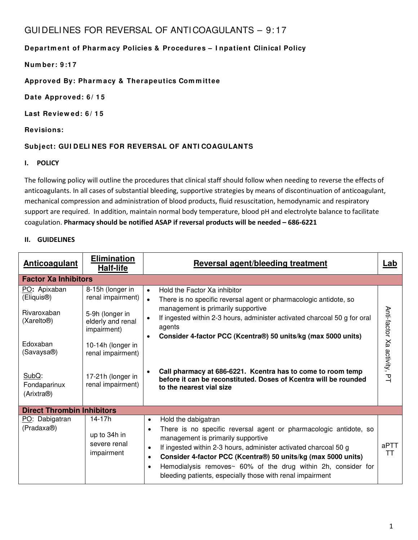## GUI DELI NES FOR REVERSAL OF ANTI COAGULANTS – 9: 17

### **Departm ent of Pharm acy Policies & Procedures – I npatient Clinical Policy**

**Num ber: 9 :1 7**

**Approved By: Pharm acy & Therapeutics Com m ittee**

**Date Approved: 6 / 1 5**

**Last Review ed: 6 / 1 5**

**Revisions:**

### **Subject: GUI DELI NES FOR REVERSAL OF ANTI COAGULANTS**

#### **I. POLICY**

The following policy will outline the procedures that clinical staff should follow when needing to reverse the effects of anticoagulants. In all cases of substantial bleeding, supportive strategies by means of discontinuation of anticoagulant, mechanical compression and administration of blood products, fluid resuscitation, hemodynamic and respiratory support are required. In addition, maintain normal body temperature, blood pH and electrolyte balance to facilitate coagulation. **Pharmacy should be notified ASAP if reversal products will be needed – 686-6221** 

#### **II. GUIDELINES**

| <b>Anticoagulant</b>                             | <b>Elimination</b><br><b>Half-life</b>               | <b>Reversal agent/bleeding treatment</b>                                                                                                                                                                                                                                                                                                                                                                                                                           | Lab                         |
|--------------------------------------------------|------------------------------------------------------|--------------------------------------------------------------------------------------------------------------------------------------------------------------------------------------------------------------------------------------------------------------------------------------------------------------------------------------------------------------------------------------------------------------------------------------------------------------------|-----------------------------|
| <b>Factor Xa Inhibitors</b>                      |                                                      |                                                                                                                                                                                                                                                                                                                                                                                                                                                                    |                             |
| PO: Apixaban<br>(Eliquis <sup>®</sup> )          | 8-15h (longer in<br>renal impairment)                | Hold the Factor Xa inhibitor<br>$\bullet$<br>There is no specific reversal agent or pharmacologic antidote, so<br>$\bullet$                                                                                                                                                                                                                                                                                                                                        |                             |
| Rivaroxaban<br>(Xarelto <sup>®</sup> )           | 5-9h (longer in<br>elderly and renal<br>impairment)  | management is primarily supportive<br>If ingested within 2-3 hours, administer activated charcoal 50 g for oral<br>$\bullet$<br>agents<br>Consider 4-factor PCC (Kcentra®) 50 units/kg (max 5000 units)                                                                                                                                                                                                                                                            | Anti-factor Xa activity, PT |
| Edoxaban<br>(Savaysa®)                           | 10-14h (longer in<br>renal impairment)               |                                                                                                                                                                                                                                                                                                                                                                                                                                                                    |                             |
| SubQ:<br>Fondaparinux<br>(Arixtra <sup>®</sup> ) | 17-21h (longer in<br>renal impairment)               | Call pharmacy at 686-6221. Kcentra has to come to room temp<br>$\bullet$<br>before it can be reconstituted. Doses of Kcentra will be rounded<br>to the nearest vial size                                                                                                                                                                                                                                                                                           |                             |
| <b>Direct Thrombin Inhibitors</b>                |                                                      |                                                                                                                                                                                                                                                                                                                                                                                                                                                                    |                             |
| PO: Dabigatran<br>(Pradaxa <sup>®</sup> )        | 14-17h<br>up to 34h in<br>severe renal<br>impairment | Hold the dabigatran<br>$\bullet$<br>There is no specific reversal agent or pharmacologic antidote, so<br>$\bullet$<br>management is primarily supportive<br>If ingested within 2-3 hours, administer activated charcoal 50 g<br>$\bullet$<br>Consider 4-factor PCC (Kcentra®) 50 units/kg (max 5000 units)<br>$\bullet$<br>Hemodialysis removes~ 60% of the drug within 2h, consider for<br>$\bullet$<br>bleeding patients, especially those with renal impairment | aPTT<br>ТT                  |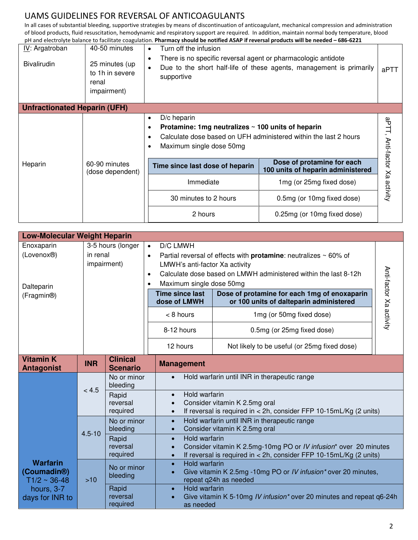In all cases of substantial bleeding, supportive strategies by means of discontinuation of anticoagulant, mechanical compression and administration of blood products, fluid resuscitation, hemodynamic and respiratory support are required. In addition, maintain normal body temperature, blood pH and electrolyte balance to facilitate coagulation. **Pharmacy should be notified ASAP if reversal products will be needed – 686-6221**

| IV: Argatroban<br><b>Bivalirudin</b>             | 40-50 minutes<br>25 minutes (up<br>to 1h in severe<br>renal<br>impairment) | Turn off the infusion<br>$\bullet$<br>There is no specific reversal agent or pharmacologic antidote<br>$\bullet$<br>supportive                                          | Due to the short half-life of these agents, management is primarily | aPTT                 |
|--------------------------------------------------|----------------------------------------------------------------------------|-------------------------------------------------------------------------------------------------------------------------------------------------------------------------|---------------------------------------------------------------------|----------------------|
| <b>Unfractionated Heparin (UFH)</b>              |                                                                            |                                                                                                                                                                         |                                                                     |                      |
| $\bullet$<br>$\bullet$<br>$\bullet$<br>$\bullet$ |                                                                            | $D/c$ heparin<br>Protamine: 1mg neutralizes $\sim$ 100 units of heparin<br>Calculate dose based on UFH administered within the last 2 hours<br>Maximum single dose 50mg |                                                                     | aPTT, Anti-factor Xa |
| Heparin                                          | 60-90 minutes<br>(dose dependent)                                          | Time since last dose of heparin                                                                                                                                         | Dose of protamine for each<br>100 units of heparin administered     |                      |
|                                                  |                                                                            | Immediate                                                                                                                                                               | 1mg (or 25mg fixed dose)                                            | activity             |
|                                                  |                                                                            | 30 minutes to 2 hours                                                                                                                                                   | 0.5mg (or 10mg fixed dose)                                          |                      |
|                                                  |                                                                            | 2 hours                                                                                                                                                                 | 0.25mg (or 10mg fixed dose)                                         |                      |

| <b>Low-Molecular Weight Heparin</b>                                                                |                                              |                                                                                                                                                                                                                                                                                                                   |                                                                                                                                                                                                                                                                                                           |                                                                                                                                                                                                                                                                          |                         |
|----------------------------------------------------------------------------------------------------|----------------------------------------------|-------------------------------------------------------------------------------------------------------------------------------------------------------------------------------------------------------------------------------------------------------------------------------------------------------------------|-----------------------------------------------------------------------------------------------------------------------------------------------------------------------------------------------------------------------------------------------------------------------------------------------------------|--------------------------------------------------------------------------------------------------------------------------------------------------------------------------------------------------------------------------------------------------------------------------|-------------------------|
| Enoxaparin<br>(Lovenox <sup>®</sup> )<br>Dalteparin<br>(Fragmin <sup>®)</sup>                      | 3-5 hours (longer<br>in renal<br>impairment) |                                                                                                                                                                                                                                                                                                                   | D/C LMWH<br>$\bullet$<br>$\bullet$<br>LMWH's anti-factor Xa activity<br>$\bullet$<br>Maximum single dose 50mg<br>$\bullet$<br><b>Time since last</b><br>dose of LMWH<br>$< 8$ hours                                                                                                                       | Partial reversal of effects with <b>protamine</b> : neutralizes $\sim 60\%$ of<br>Calculate dose based on LMWH administered within the last 8-12h<br>Dose of protamine for each 1mg of enoxaparin<br>or 100 units of dalteparin administered<br>1mg (or 50mg fixed dose) | Anti-factor Xa activity |
|                                                                                                    |                                              |                                                                                                                                                                                                                                                                                                                   | 8-12 hours<br>12 hours                                                                                                                                                                                                                                                                                    | 0.5mg (or 25mg fixed dose)<br>Not likely to be useful (or 25mg fixed dose)                                                                                                                                                                                               |                         |
| <b>Vitamin K</b><br><b>Antagonist</b>                                                              | <b>INR</b>                                   | <b>Clinical</b><br><b>Scenario</b>                                                                                                                                                                                                                                                                                | <b>Management</b>                                                                                                                                                                                                                                                                                         |                                                                                                                                                                                                                                                                          |                         |
|                                                                                                    | < 4.5                                        | Hold warfarin until INR in therapeutic range<br>No or minor<br>$\bullet$<br>bleeding<br>Hold warfarin<br>Rapid<br>$\bullet$<br>Consider vitamin K 2.5mg oral<br>reversal<br>$\bullet$<br>required<br>$\bullet$                                                                                                    |                                                                                                                                                                                                                                                                                                           | If reversal is required in $<$ 2h, consider FFP 10-15mL/Kg (2 units)                                                                                                                                                                                                     |                         |
|                                                                                                    | $4.5 - 10$                                   | No or minor<br>bleeding<br>Rapid<br>reversal<br>required                                                                                                                                                                                                                                                          | Hold warfarin until INR in therapeutic range<br>$\bullet$<br>Consider vitamin K 2.5mg oral<br>$\bullet$<br>Hold warfarin<br>$\bullet$<br>Consider vitamin K 2.5mg-10mg PO or IV infusion* over 20 minutes<br>$\bullet$<br>If reversal is required in < 2h, consider FFP 10-15mL/Kg (2 units)<br>$\bullet$ |                                                                                                                                                                                                                                                                          |                         |
| <b>Warfarin</b><br>(Coumadin <sup>®)</sup><br>$T1/2 \sim 36 - 48$<br>hours, 3-7<br>days for INR to | $>10$                                        | Hold warfarin<br>$\bullet$<br>No or minor<br>Give vitamin K 2.5mg -10mg PO or IV infusion* over 20 minutes,<br>$\bullet$<br>bleeding<br>repeat q24h as needed<br>Hold warfarin<br>Rapid<br>$\bullet$<br>reversal<br>Give vitamin K 5-10mg IV infusion* over 20 minutes and repeat q6-24h<br>required<br>as needed |                                                                                                                                                                                                                                                                                                           |                                                                                                                                                                                                                                                                          |                         |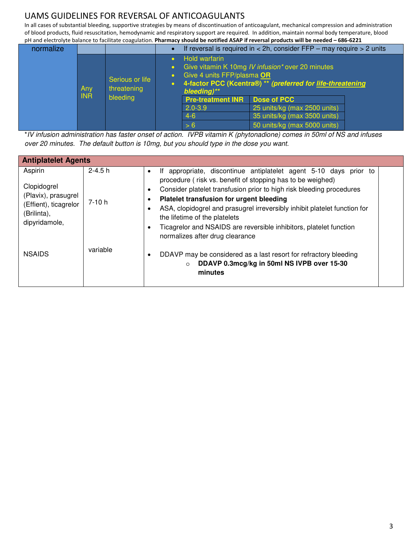In all cases of substantial bleeding, supportive strategies by means of discontinuation of anticoagulant, mechanical compression and administration of blood products, fluid resuscitation, hemodynamic and respiratory support are required. In addition, maintain normal body temperature, blood pH and electrolyte balance to facilitate coagulation. **Pharmacy should be notified ASAP if reversal products will be needed – 686-6221**

|           |            |                                |                                                                   | pri and cicculoryic balance to facilitate coaguiation. Finanniacy should be hothled ASAFTIFFEVERSaFDI oudets will be heeded to too-ozzi |  |
|-----------|------------|--------------------------------|-------------------------------------------------------------------|-----------------------------------------------------------------------------------------------------------------------------------------|--|
| normalize |            |                                |                                                                   | If reversal is required in $<$ 2h, consider FFP – may require $>$ 2 units                                                               |  |
|           | Any        | Serious or life<br>threatening | <b>Hold warfarin</b><br>Give 4 units FFP/plasma OR<br>bleeding)** | Give vitamin K 10mg IV infusion* over 20 minutes<br>4-factor PCC (Kcentra®) ** (preferred for life-threatening                          |  |
|           | <b>INR</b> | bleeding                       | <b>Pre-treatment INR</b>                                          | <b>Dose of PCC</b>                                                                                                                      |  |
|           |            |                                | $2.0 - 3.9$                                                       | 25 units/kg (max 2500 units)                                                                                                            |  |
|           |            |                                | $4-6$                                                             | 35 units/kg (max 3500 units)                                                                                                            |  |
|           |            |                                | > 6                                                               | 50 units/kg (max 5000 units)                                                                                                            |  |

\**IV infusion administration has faster onset of action. IVPB vitamin K (phytonadione) comes in 50ml of NS and infuses over 20 minutes. The default button is 10mg, but you should type in the dose you want.*

| <b>Antiplatelet Agents</b>                                                                             |                       |                                                                                                                                                                                                                                                                                                                                                                                                                                                                                |  |  |
|--------------------------------------------------------------------------------------------------------|-----------------------|--------------------------------------------------------------------------------------------------------------------------------------------------------------------------------------------------------------------------------------------------------------------------------------------------------------------------------------------------------------------------------------------------------------------------------------------------------------------------------|--|--|
| Aspirin<br>Clopidogrel<br>(Plavix), prasugrel<br>(Effient), ticagrelor<br>(Brilinta),<br>dipyridamole, | $2 - 4.5 h$<br>7-10 h | appropriate, discontinue antiplatelet agent 5-10 days prior to<br>lf.<br>procedure (risk vs. benefit of stopping has to be weighed)<br>Consider platelet transfusion prior to high risk bleeding procedures<br>Platelet transfusion for urgent bleeding<br>ASA, clopidogrel and prasugrel irreversibly inhibit platelet function for<br>the lifetime of the platelets<br>Ticagrelor and NSAIDS are reversible inhibitors, platelet function<br>normalizes after drug clearance |  |  |
| <b>NSAIDS</b>                                                                                          | variable              | DDAVP may be considered as a last resort for refractory bleeding<br>$\bullet$<br>DDAVP 0.3mcg/kg in 50ml NS IVPB over 15-30<br>$\circ$<br>minutes                                                                                                                                                                                                                                                                                                                              |  |  |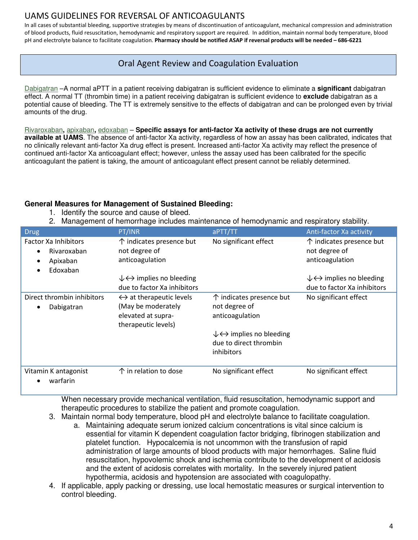In all cases of substantial bleeding, supportive strategies by means of discontinuation of anticoagulant, mechanical compression and administration of blood products, fluid resuscitation, hemodynamic and respiratory support are required. In addition, maintain normal body temperature, blood pH and electrolyte balance to facilitate coagulation. **Pharmacy should be notified ASAP if reversal products will be needed – 686-6221**

### Oral Agent Review and Coagulation Evaluation

[Dabigatran](http://www.uptodate.com/contents/dabigatran-drug-information?source=see_link) –A normal aPTT in a patient receiving dabigatran is sufficient evidence to eliminate a **significant** dabigatran effect. A normal TT (thrombin time) in a patient receiving dabigatran is sufficient evidence to **exclude** dabigatran as a potential cause of bleeding. The TT is extremely sensitive to the effects of dabigatran and can be prolonged even by trivial amounts of the drug.

[Rivaroxaban](http://www.uptodate.com/contents/rivaroxaban-drug-information?source=see_link)**,** [apixaban](http://www.uptodate.com/contents/apixaban-drug-information?source=see_link)**,** [edoxaban](http://www.uptodate.com/contents/edoxaban-drug-information?source=see_link) – **Specific assays for anti-factor Xa activity of these drugs are not currently available at UAMS**. The absence of anti-factor Xa activity, regardless of how an assay has been calibrated, indicates that no clinically relevant anti-factor Xa drug effect is present. Increased anti-factor Xa activity may reflect the presence of continued anti-factor Xa anticoagulant effect; however, unless the assay used has been calibrated for the specific anticoagulant the patient is taking, the amount of anticoagulant effect present cannot be reliably determined.

#### **General Measures for Management of Sustained Bleeding:**

- 1. Identify the source and cause of bleed.
- 2. Management of hemorrhage includes maintenance of hemodynamic and respiratory stability.

| Drug                                                                                       | PT/INR                                                                                                     | aPTT/TT                                                                                  | Anti-factor Xa activity                                      |
|--------------------------------------------------------------------------------------------|------------------------------------------------------------------------------------------------------------|------------------------------------------------------------------------------------------|--------------------------------------------------------------|
| Factor Xa Inhibitors<br>Rivaroxaban<br>$\bullet$<br>Apixaban<br>٠<br>Edoxaban<br>$\bullet$ | $\uparrow$ indicates presence but<br>not degree of<br>anticoagulation                                      | No significant effect                                                                    | ↑ indicates presence but<br>not degree of<br>anticoagulation |
|                                                                                            | $\downarrow \leftrightarrow$ implies no bleeding                                                           |                                                                                          | $\downarrow \leftrightarrow$ implies no bleeding             |
|                                                                                            | due to factor Xa inhibitors                                                                                |                                                                                          | due to factor Xa inhibitors                                  |
| Direct thrombin inhibitors<br>Dabigatran<br>٠                                              | $\leftrightarrow$ at therapeutic levels<br>(May be moderately<br>elevated at supra-<br>therapeutic levels) | ↑ indicates presence but<br>not degree of<br>anticoagulation                             | No significant effect                                        |
|                                                                                            |                                                                                                            | $\downarrow \leftrightarrow$ implies no bleeding<br>due to direct thrombin<br>inhibitors |                                                              |
| Vitamin K antagonist<br>warfarin<br>٠                                                      | $\uparrow$ in relation to dose                                                                             | No significant effect                                                                    | No significant effect                                        |

When necessary provide mechanical ventilation, fluid resuscitation, hemodynamic support and therapeutic procedures to stabilize the patient and promote coagulation.

- 3. Maintain normal body temperature, blood pH and electrolyte balance to facilitate coagulation.
	- a. Maintaining adequate serum ionized calcium concentrations is vital since calcium is essential for vitamin K dependent coagulation factor bridging, fibrinogen stabilization and platelet function. Hypocalcemia is not uncommon with the transfusion of rapid administration of large amounts of blood products with major hemorrhages. Saline fluid resuscitation, hypovolemic shock and ischemia contribute to the development of acidosis and the extent of acidosis correlates with mortality. In the severely injured patient hypothermia, acidosis and hypotension are associated with coagulopathy.
- 4. If applicable, apply packing or dressing, use local hemostatic measures or surgical intervention to control bleeding.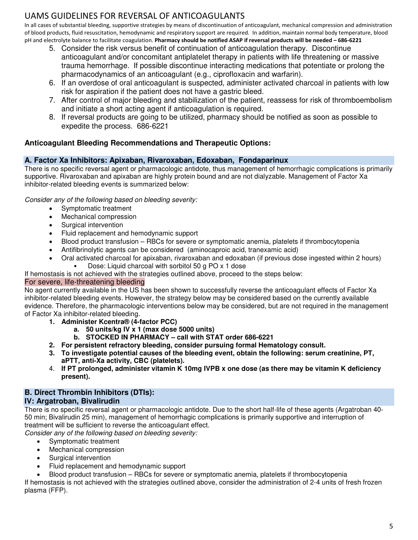In all cases of substantial bleeding, supportive strategies by means of discontinuation of anticoagulant, mechanical compression and administration of blood products, fluid resuscitation, hemodynamic and respiratory support are required. In addition, maintain normal body temperature, blood pH and electrolyte balance to facilitate coagulation. **Pharmacy should be notified ASAP if reversal products will be needed – 686-6221**

- 5. Consider the risk versus benefit of continuation of anticoagulation therapy. Discontinue anticoagulant and/or concomitant antiplatelet therapy in patients with life threatening or massive trauma hemorrhage. If possible discontinue interacting medications that potentiate or prolong the pharmacodynamics of an anticoagulant (e.g., ciprofloxacin and warfarin).
- 6. If an overdose of oral anticoagulant is suspected, administer activated charcoal in patients with low risk for aspiration if the patient does not have a gastric bleed.
- 7. After control of major bleeding and stabilization of the patient, reassess for risk of thromboembolism and initiate a short acting agent if anticoagulation is required.
- 8. If reversal products are going to be utilized, pharmacy should be notified as soon as possible to expedite the process. 686-6221

### **Anticoagulant Bleeding Recommendations and Therapeutic Options:**

### **A. Factor Xa Inhibitors: Apixaban, Rivaroxaban, Edoxaban, Fondaparinux**

There is no specific reversal agent or pharmacologic antidote, thus management of hemorrhagic complications is primarily supportive. Rivaroxaban and apixaban are highly protein bound and are not dialyzable. Management of Factor Xa inhibitor-related bleeding events is summarized below:

*Consider any of the following based on bleeding severity:* 

- Symptomatic treatment
- Mechanical compression
- Surgical intervention
- Fluid replacement and hemodynamic support
- Blood product transfusion RBCs for severe or symptomatic anemia, platelets if thrombocytopenia
- Antifibrinolytic agents can be considered (aminocaproic acid, tranexamic acid)
	- Oral activated charcoal for apixaban, rivaroxaban and edoxaban (if previous dose ingested within 2 hours) • Dose: Liquid charcoal with sorbitol 50 g PO x 1 dose

If hemostasis is not achieved with the strategies outlined above, proceed to the steps below:

### For severe, life-threatening bleeding

No agent currently available in the US has been shown to successfully reverse the anticoagulant effects of Factor Xa inhibitor-related bleeding events. However, the strategy below may be considered based on the currently available evidence. Therefore, the pharmacologic interventions below may be considered, but are not required in the management of Factor Xa inhibitor-related bleeding.

- **1. Administer Kcentra® (4-factor PCC)** 
	- **a. 50 units/kg IV x 1 (max dose 5000 units)**
	- **b. STOCKED IN PHARMACY call with STAT order 686-6221**
- **2. For persistent refractory bleeding, consider pursuing formal Hematology consult.**
- **3. To investigate potential causes of the bleeding event, obtain the following: serum creatinine, PT, aPTT, anti-Xa activity, CBC (platelets).**
- 4. **If PT prolonged, administer vitamin K 10mg IVPB x one dose (as there may be vitamin K deficiency present).**

### **B. Direct Thrombin Inhibitors (DTIs):**

### **IV: Argatroban, Bivalirudin**

There is no specific reversal agent or pharmacologic antidote. Due to the short half-life of these agents (Argatroban 40- 50 min; Bivalirudin 25 min), management of hemorrhagic complications is primarily supportive and interruption of treatment will be sufficient to reverse the anticoagulant effect.

*Consider any of the following based on bleeding severity:* 

- Symptomatic treatment
- Mechanical compression
- Surgical intervention
- Fluid replacement and hemodynamic support
- Blood product transfusion RBCs for severe or symptomatic anemia, platelets if thrombocytopenia

If hemostasis is not achieved with the strategies outlined above, consider the administration of 2-4 units of fresh frozen plasma (FFP).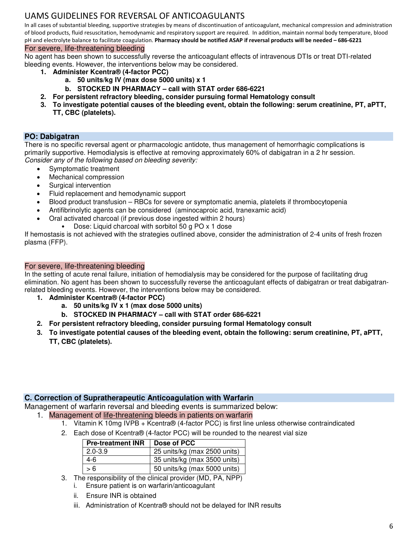In all cases of substantial bleeding, supportive strategies by means of discontinuation of anticoagulant, mechanical compression and administration of blood products, fluid resuscitation, hemodynamic and respiratory support are required. In addition, maintain normal body temperature, blood pH and electrolyte balance to facilitate coagulation. **Pharmacy should be notified ASAP if reversal products will be needed – 686-6221**

#### For severe, life-threatening bleeding

No agent has been shown to successfully reverse the anticoagulant effects of intravenous DTIs or treat DTI-related bleeding events. However, the interventions below may be considered.

- **1. Administer Kcentra® (4-factor PCC)** 
	- **a. 50 units/kg IV (max dose 5000 units) x 1**
	- **b. STOCKED IN PHARMACY call with STAT order 686-6221**
- **2. For persistent refractory bleeding, consider pursuing formal Hematology consult**
- **3. To investigate potential causes of the bleeding event, obtain the following: serum creatinine, PT, aPTT, TT, CBC (platelets).**

#### **PO: Dabigatran**

There is no specific reversal agent or pharmacologic antidote, thus management of hemorrhagic complications is primarily supportive. Hemodialysis is effective at removing approximately 60% of dabigatran in a 2 hr session. *Consider any of the following based on bleeding severity:* 

- Symptomatic treatment
- Mechanical compression
- Surgical intervention
- Fluid replacement and hemodynamic support
- Blood product transfusion RBCs for severe or symptomatic anemia, platelets if thrombocytopenia
- Antifibrinolytic agents can be considered (aminocaproic acid, tranexamic acid)
- Oral activated charcoal (if previous dose ingested within 2 hours)
	- Dose: Liquid charcoal with sorbitol 50 g PO x 1 dose

If hemostasis is not achieved with the strategies outlined above, consider the administration of 2-4 units of fresh frozen plasma (FFP).

#### For severe, life-threatening bleeding

In the setting of acute renal failure, initiation of hemodialysis may be considered for the purpose of facilitating drug elimination. No agent has been shown to successfully reverse the anticoagulant effects of dabigatran or treat dabigatranrelated bleeding events. However, the interventions below may be considered.

- **1. Administer Kcentra® (4-factor PCC)** 
	- **a. 50 units/kg IV x 1 (max dose 5000 units)**
	- **b. STOCKED IN PHARMACY call with STAT order 686-6221**
- **2. For persistent refractory bleeding, consider pursuing formal Hematology consult**
- **3. To investigate potential causes of the bleeding event, obtain the following: serum creatinine, PT, aPTT, TT, CBC (platelets).**

#### **C. Correction of Supratherapeutic Anticoagulation with Warfarin**

Management of warfarin reversal and bleeding events is summarized below:

- 1. Management of life-threatening bleeds in patients on warfarin
	- 1. Vitamin K 10mg IVPB + Kcentra® (4-factor PCC) is first line unless otherwise contraindicated
	- 2. Each dose of Kcentra® (4-factor PCC) will be rounded to the nearest vial size

| <b>Pre-treatment INR</b> | Dose of PCC                  |
|--------------------------|------------------------------|
| $2.0 - 3.9$              | 25 units/kg (max 2500 units) |
| 4-6                      | 35 units/kg (max 3500 units) |
| > 6                      | 50 units/kg (max 5000 units) |

- 3. The responsibility of the clinical provider (MD, PA, NPP)
	- i. Ensure patient is on warfarin/anticoagulant
	- ii. Ensure INR is obtained
	- iii. Administration of Kcentra® should not be delayed for INR results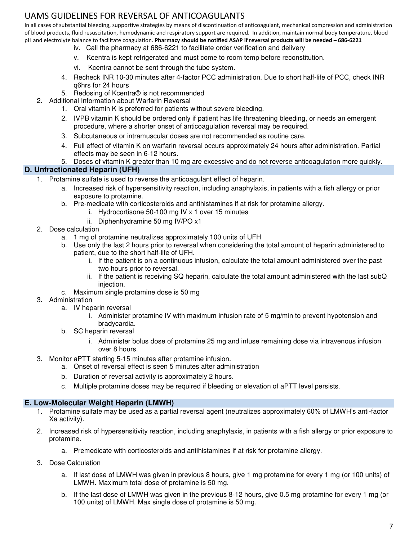In all cases of substantial bleeding, supportive strategies by means of discontinuation of anticoagulant, mechanical compression and administration of blood products, fluid resuscitation, hemodynamic and respiratory support are required. In addition, maintain normal body temperature, blood pH and electrolyte balance to facilitate coagulation. **Pharmacy should be notified ASAP if reversal products will be needed – 686-6221**

- iv. Call the pharmacy at 686-6221 to facilitate order verification and delivery
- v. Kcentra is kept refrigerated and must come to room temp before reconstitution.
- vi. Kcentra cannot be sent through the tube system.
- 4. Recheck INR 10-30 minutes after 4-factor PCC administration. Due to short half-life of PCC, check INR q6hrs for 24 hours
- 5. Redosing of Kcentra® is not recommended
- 2. Additional Information about Warfarin Reversal
	- 1. Oral vitamin K is preferred for patients without severe bleeding.
	- 2. IVPB vitamin K should be ordered only if patient has life threatening bleeding, or needs an emergent procedure, where a shorter onset of anticoagulation reversal may be required.
	- 3. Subcutaneous or intramuscular doses are not recommended as routine care.
	- 4. Full effect of vitamin K on warfarin reversal occurs approximately 24 hours after administration. Partial effects may be seen in 6-12 hours.
	- 5. Doses of vitamin K greater than 10 mg are excessive and do not reverse anticoagulation more quickly.

#### **D. Unfractionated Heparin (UFH)**

- 1. Protamine sulfate is used to reverse the anticoagulant effect of heparin.
	- a. Increased risk of hypersensitivity reaction, including anaphylaxis, in patients with a fish allergy or prior exposure to protamine.
	- b. Pre-medicate with corticosteroids and antihistamines if at risk for protamine allergy.
		- i. Hydrocortisone 50-100 mg IV x 1 over 15 minutes
		- ii. Diphenhydramine 50 mg IV/PO x1
- 2. Dose calculation
	- a. 1 mg of protamine neutralizes approximately 100 units of UFH
	- b. Use only the last 2 hours prior to reversal when considering the total amount of heparin administered to patient, due to the short half-life of UFH.
		- i. If the patient is on a continuous infusion, calculate the total amount administered over the past two hours prior to reversal.
		- ii. If the patient is receiving SQ heparin, calculate the total amount administered with the last subQ injection.
	- c. Maximum single protamine dose is 50 mg
- 3. Administration
	- a. IV heparin reversal
		- i. Administer protamine IV with maximum infusion rate of 5 mg/min to prevent hypotension and bradycardia.
	- b. SC heparin reversal
		- i. Administer bolus dose of protamine 25 mg and infuse remaining dose via intravenous infusion over 8 hours.
- 3. Monitor aPTT starting 5-15 minutes after protamine infusion.
	- a. Onset of reversal effect is seen 5 minutes after administration
	- b. Duration of reversal activity is approximately 2 hours.
	- c. Multiple protamine doses may be required if bleeding or elevation of aPTT level persists.

#### **E. Low-Molecular Weight Heparin (LMWH)**

- 1. Protamine sulfate may be used as a partial reversal agent (neutralizes approximately 60% of LMWH's anti-factor Xa activity).
- 2. Increased risk of hypersensitivity reaction, including anaphylaxis, in patients with a fish allergy or prior exposure to protamine.
	- a. Premedicate with corticosteroids and antihistamines if at risk for protamine allergy.
- 3. Dose Calculation
	- a. If last dose of LMWH was given in previous 8 hours, give 1 mg protamine for every 1 mg (or 100 units) of LMWH. Maximum total dose of protamine is 50 mg.
	- b. If the last dose of LMWH was given in the previous 8-12 hours, give 0.5 mg protamine for every 1 mg (or 100 units) of LMWH. Max single dose of protamine is 50 mg.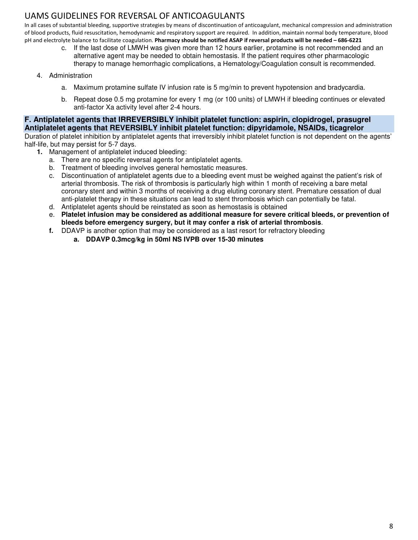In all cases of substantial bleeding, supportive strategies by means of discontinuation of anticoagulant, mechanical compression and administration of blood products, fluid resuscitation, hemodynamic and respiratory support are required. In addition, maintain normal body temperature, blood pH and electrolyte balance to facilitate coagulation. **Pharmacy should be notified ASAP if reversal products will be needed – 686-6221**

- c. If the last dose of LMWH was given more than 12 hours earlier, protamine is not recommended and an alternative agent may be needed to obtain hemostasis. If the patient requires other pharmacologic therapy to manage hemorrhagic complications, a Hematology/Coagulation consult is recommended.
- 4. Administration
	- a. Maximum protamine sulfate IV infusion rate is 5 mg/min to prevent hypotension and bradycardia.
	- b. Repeat dose 0.5 mg protamine for every 1 mg (or 100 units) of LMWH if bleeding continues or elevated anti-factor Xa activity level after 2-4 hours.

**F. Antiplatelet agents that IRREVERSIBLY inhibit platelet function: aspirin, clopidrogel, prasugrel Antiplatelet agents that REVERSIBLY inhibit platelet function: dipyridamole, NSAIDs, ticagrelor**  Duration of platelet inhibition by antiplatelet agents that irreversibly inhibit platelet function is not dependent on the agents' half-life, but may persist for 5-7 days.

- **1.** Management of antiplatelet induced bleeding:
	- a. There are no specific reversal agents for antiplatelet agents.
	- b. Treatment of bleeding involves general hemostatic measures.
	- c. Discontinuation of antiplatelet agents due to a bleeding event must be weighed against the patient's risk of arterial thrombosis. The risk of thrombosis is particularly high within 1 month of receiving a bare metal coronary stent and within 3 months of receiving a drug eluting coronary stent. Premature cessation of dual anti-platelet therapy in these situations can lead to stent thrombosis which can potentially be fatal.
	- d. Antiplatelet agents should be reinstated as soon as hemostasis is obtained
	- e. **Platelet infusion may be considered as additional measure for severe critical bleeds, or prevention of bleeds before emergency surgery, but it may confer a risk of arterial thrombosis**.
	- **f.** DDAVP is another option that may be considered as a last resort for refractory bleeding
		- **a. DDAVP 0.3mcg/kg in 50ml NS IVPB over 15-30 minutes**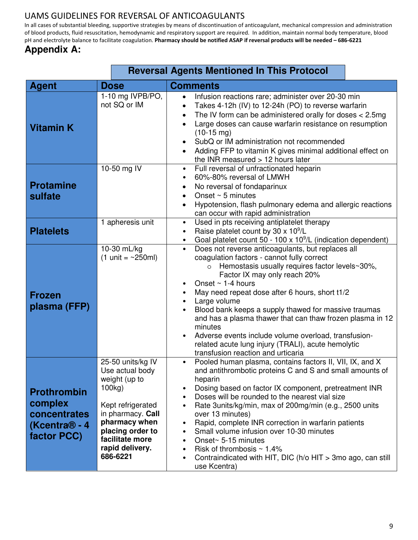In all cases of substantial bleeding, supportive strategies by means of discontinuation of anticoagulant, mechanical compression and administration of blood products, fluid resuscitation, hemodynamic and respiratory support are required. In addition, maintain normal body temperature, blood pH and electrolyte balance to facilitate coagulation. **Pharmacy should be notified ASAP if reversal products will be needed – 686-6221**

## **Appendix A:**

|                                                                                           |                                                                                                                                                                                                  | <b>Reversal Agents Mentioned In This Protocol</b>                                                                                                                                                                                                                                                                                                                                                                                                                                                                                                                                                                                                                                |
|-------------------------------------------------------------------------------------------|--------------------------------------------------------------------------------------------------------------------------------------------------------------------------------------------------|----------------------------------------------------------------------------------------------------------------------------------------------------------------------------------------------------------------------------------------------------------------------------------------------------------------------------------------------------------------------------------------------------------------------------------------------------------------------------------------------------------------------------------------------------------------------------------------------------------------------------------------------------------------------------------|
| <b>Agent</b>                                                                              | <b>Dose</b>                                                                                                                                                                                      | <b>Comments</b>                                                                                                                                                                                                                                                                                                                                                                                                                                                                                                                                                                                                                                                                  |
| <b>Vitamin K</b>                                                                          | 1-10 mg IVPB/PO,<br>not SQ or IM                                                                                                                                                                 | Infusion reactions rare; administer over 20-30 min<br>$\bullet$<br>Takes 4-12h (IV) to 12-24h (PO) to reverse warfarin<br>The IV form can be administered orally for doses $<$ 2.5mg<br>٠<br>Large doses can cause warfarin resistance on resumption<br>$\bullet$<br>$(10-15 \text{ mg})$<br>SubQ or IM administration not recommended<br>Adding FFP to vitamin K gives minimal additional effect on<br>the INR measured $> 12$ hours later                                                                                                                                                                                                                                      |
| <b>Protamine</b><br>sulfate                                                               | 10-50 mg IV                                                                                                                                                                                      | Full reversal of unfractionated heparin<br>$\bullet$<br>60%-80% reversal of LMWH<br>$\bullet$<br>No reversal of fondaparinux<br>$\bullet$<br>Onset $\sim$ 5 minutes<br>$\bullet$<br>Hypotension, flash pulmonary edema and allergic reactions<br>can occur with rapid administration                                                                                                                                                                                                                                                                                                                                                                                             |
| <b>Platelets</b>                                                                          | 1 apheresis unit                                                                                                                                                                                 | Used in pts receiving antiplatelet therapy<br>$\bullet$<br>Raise platelet count by 30 x 10 <sup>9</sup> /L<br>$\bullet$<br>Goal platelet count 50 - 100 x $10^9$ /L (indication dependent)                                                                                                                                                                                                                                                                                                                                                                                                                                                                                       |
| <b>Frozen</b><br>plasma (FFP)                                                             | 10-30 mL/kg<br>$(1 \text{ unit} = \sim 250 \text{ml})$                                                                                                                                           | Does not reverse anticoagulants, but replaces all<br>$\bullet$<br>coagulation factors - cannot fully correct<br>Hemostasis usually requires factor levels~30%,<br>$\circ$<br>Factor IX may only reach 20%<br>Onset $\sim$ 1-4 hours<br>May need repeat dose after 6 hours, short t1/2<br>Large volume<br>$\bullet$<br>Blood bank keeps a supply thawed for massive traumas<br>and has a plasma thawer that can thaw frozen plasma in 12<br>minutes<br>Adverse events include volume overload, transfusion-<br>related acute lung injury (TRALI), acute hemolytic<br>transfusion reaction and urticaria                                                                           |
| <b>Prothrombin</b><br>complex<br>concentrates<br>(Kcentra <sup>®</sup> - 4<br>factor PCC) | 25-50 units/kg IV<br>Use actual body<br>weight (up to<br>100kg)<br>Kept refrigerated<br>in pharmacy. Call<br>pharmacy when<br>placing order to<br>facilitate more<br>rapid delivery.<br>686-6221 | Pooled human plasma, contains factors II, VII, IX, and X<br>$\bullet$<br>and antithrombotic proteins C and S and small amounts of<br>heparin<br>Dosing based on factor IX component, pretreatment INR<br>Doses will be rounded to the nearest vial size<br>$\bullet$<br>Rate 3units/kg/min, max of 200mg/min (e.g., 2500 units<br>$\bullet$<br>over 13 minutes)<br>Rapid, complete INR correction in warfarin patients<br>$\bullet$<br>Small volume infusion over 10-30 minutes<br>$\bullet$<br>Onset~ 5-15 minutes<br>$\bullet$<br>Risk of thrombosis $\sim 1.4\%$<br>$\bullet$<br>Contraindicated with HIT, DIC ( $h$ /o HIT > 3mo ago, can still<br>$\bullet$<br>use Kcentra) |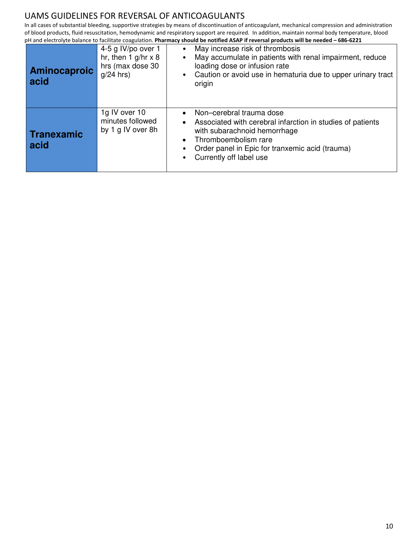In all cases of substantial bleeding, supportive strategies by means of discontinuation of anticoagulant, mechanical compression and administration of blood products, fluid resuscitation, hemodynamic and respiratory support are required. In addition, maintain normal body temperature, blood pH and electrolyte balance to facilitate coagulation. **Pharmacy should be notified ASAP if reversal products will be needed – 686-6221**

| <b>Aminocaproic</b><br>acid | 4-5 g IV/po over 1<br>hr, then $1$ g/hr $\times$ 8<br>hrs (max dose 30<br>$q/24$ hrs) | May increase risk of thrombosis<br>$\bullet$<br>May accumulate in patients with renal impairment, reduce<br>loading dose or infusion rate<br>Caution or avoid use in hematuria due to upper urinary tract<br>$\bullet$<br>origin          |
|-----------------------------|---------------------------------------------------------------------------------------|-------------------------------------------------------------------------------------------------------------------------------------------------------------------------------------------------------------------------------------------|
| Tranexamic<br>acid          | 1g IV over 10<br>minutes followed<br>by 1 g IV over 8h                                | Non-cerebral trauma dose<br>Associated with cerebral infarction in studies of patients<br>$\bullet$<br>with subarachnoid hemorrhage<br>Thromboembolism rare<br>Order panel in Epic for tranxemic acid (trauma)<br>Currently off label use |